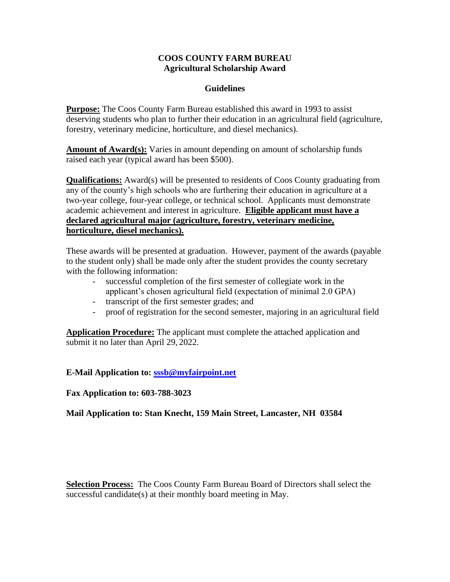## **COOS COUNTY FARM BUREAU Agricultural Scholarship Award**

## **Guidelines**

**Purpose:** The Coos County Farm Bureau established this award in 1993 to assist deserving students who plan to further their education in an agricultural field (agriculture, forestry, veterinary medicine, horticulture, and diesel mechanics).

**Amount of Award(s):** Varies in amount depending on amount of scholarship funds raised each year (typical award has been \$500).

**Qualifications:** Award(s) will be presented to residents of Coos County graduating from any of the county's high schools who are furthering their education in agriculture at a two-year college, four-year college, or technical school. Applicants must demonstrate academic achievement and interest in agriculture. **Eligible applicant must have a declared agricultural major (agriculture, forestry, veterinary medicine, horticulture, diesel mechanics).**

These awards will be presented at graduation. However, payment of the awards (payable to the student only) shall be made only after the student provides the county secretary with the following information:

- successful completion of the first semester of collegiate work in the applicant's chosen agricultural field (expectation of minimal 2.0 GPA)
- transcript of the first semester grades; and
- proof of registration for the second semester, majoring in an agricultural field

**Application Procedure:** The applicant must complete the attached application and submit it no later than April 29, 2022.

**E-Mail Application to: [sssb@myfairpoint.net](mailto:sssb@myfairpoint.net)**

**Fax Application to: 603-788-3023**

**Mail Application to: Stan Knecht, 159 Main Street, Lancaster, NH 03584**

**Selection Process:** The Coos County Farm Bureau Board of Directors shall select the successful candidate(s) at their monthly board meeting in May.